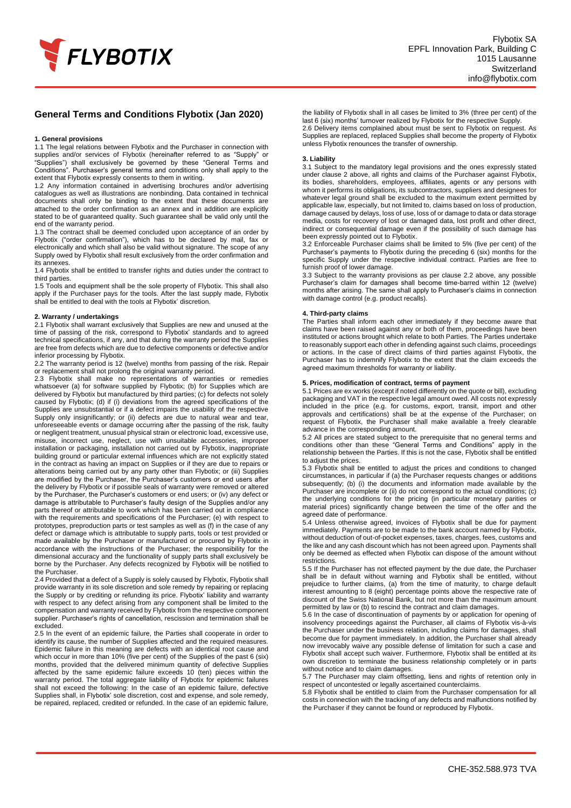

# **General Terms and Conditions Flybotix (Jan 2020)**

## **1. General provisions**

1.1 The legal relations between Flybotix and the Purchaser in connection with supplies and/or services of Flybotix (hereinafter referred to as "Supply" or "Supplies") shall exclusively be governed by these "General Terms and Conditions". Purchaser's general terms and conditions only shall apply to the extent that Flybotix expressly consents to them in writing.

1.2 Any information contained in advertising brochures and/or advertising catalogues as well as illustrations are nonbinding. Data contained in technical documents shall only be binding to the extent that these documents are attached to the order confirmation as an annex and in addition are explicitly stated to be of guaranteed quality. Such guarantee shall be valid only until the end of the warranty period.

1.3 The contract shall be deemed concluded upon acceptance of an order by Flybotix ("order confirmation"), which has to be declared by mail, fax or electronically and which shall also be valid without signature. The scope of any Supply owed by Flybotix shall result exclusively from the order confirmation and its annexes.

1.4 Flybotix shall be entitled to transfer rights and duties under the contract to third parties.

1.5 Tools and equipment shall be the sole property of Flybotix. This shall also apply if the Purchaser pays for the tools. After the last supply made, Flybotix shall be entitled to deal with the tools at Flybotix' discretion.

#### **2. Warranty / undertakings**

2.1 Flybotix shall warrant exclusively that Supplies are new and unused at the time of passing of the risk, correspond to Flybotix' standards and to agreed technical specifications, if any, and that during the warranty period the Supplies are free from defects which are due to defective components or defective and/or inferior processing by Flybotix.

2.2 The warranty period is 12 (twelve) months from passing of the risk. Repair or replacement shall not prolong the original warranty period.

2.3 Flybotix shall make no representations of warranties or remedies whatsoever (a) for software supplied by Flybotix; (b) for Supplies which are delivered by Flybotix but manufactured by third parties; (c) for defects not solely caused by Flybotix; (d) if (i) deviations from the agreed specifications of the Supplies are unsubstantial or if a defect impairs the usability of the respective Supply only insignificantly; or (ii) defects are due to natural wear and tear, unforeseeable events or damage occurring after the passing of the risk, faulty or negligent treatment, unusual physical strain or electronic load, excessive use, misuse, incorrect use, neglect, use with unsuitable accessories, improper installation or packaging, installation not carried out by Flybotix, inappropriate building ground or particular external influences which are not explicitly stated in the contract as having an impact on Supplies or if they are due to repairs or alterations being carried out by any party other than Flybotix; or (iii) Supplies are modified by the Purchaser, the Purchaser's customers or end users after the delivery by Flybotix or if possible seals of warranty were removed or altered by the Purchaser, the Purchaser's customers or end users; or (iv) any defect or damage is attributable to Purchaser's faulty design of the Supplies and/or any parts thereof or attributable to work which has been carried out in compliance with the requirements and specifications of the Purchaser; (e) with respect to prototypes, preproduction parts or test samples as well as (f) in the case of any defect or damage which is attributable to supply parts, tools or test provided or made available by the Purchaser or manufactured or procured by Flybotix in accordance with the instructions of the Purchaser; the responsibility for the dimensional accuracy and the functionality of supply parts shall exclusively be borne by the Purchaser. Any defects recognized by Flybotix will be notified to the Purchaser.

2.4 Provided that a defect of a Supply is solely caused by Flybotix, Flybotix shall provide warranty in its sole discretion and sole remedy by repairing or replacing the Supply or by crediting or refunding its price. Flybotix' liability and warranty with respect to any defect arising from any component shall be limited to the compensation and warranty received by Flybotix from the respective component supplier. Purchaser's rights of cancellation, rescission and termination shall be excluded.

2.5 In the event of an epidemic failure, the Parties shall cooperate in order to identify its cause, the number of Supplies affected and the required measures. Epidemic failure in this meaning are defects with an identical root cause and which occur in more than 10% (five per cent) of the Supplies of the past 6 (six) months, provided that the delivered minimum quantity of defective Supplies affected by the same epidemic failure exceeds 10 (ten) pieces within the warranty period. The total aggregate liability of Flybotix for epidemic failures shall not exceed the following: In the case of an epidemic failure, defective Supplies shall, in Flybotix' sole discretion, cost and expense, and sole remedy, be repaired, replaced, credited or refunded. In the case of an epidemic failure,

the liability of Flybotix shall in all cases be limited to 3% (three per cent) of the last 6 (six) months' turnover realized by Flybotix for the respective Supply. 2.6 Delivery items complained about must be sent to Flybotix on request. As Supplies are replaced, replaced Supplies shall become the property of Flybotix unless Flybotix renounces the transfer of ownership.

#### **3. Liability**

3.1 Subject to the mandatory legal provisions and the ones expressly stated under clause 2 above, all rights and claims of the Purchaser against Flybotix, its bodies, shareholders, employees, affiliates, agents or any persons with whom it performs its obligations, its subcontractors, suppliers and designees for whatever legal ground shall be excluded to the maximum extent permitted by applicable law, especially, but not limited to, claims based on loss of production, damage caused by delays, loss of use, loss of or damage to data or data storage media, costs for recovery of lost or damaged data, lost profit and other direct, indirect or consequential damage even if the possibility of such damage has been expressly pointed out to Flybotix.

3.2 Enforceable Purchaser claims shall be limited to 5% (five per cent) of the Purchaser's payments to Flybotix during the preceding 6 (six) months for the specific Supply under the respective individual contract. Parties are free to furnish proof of lower damage.

3.3 Subject to the warranty provisions as per clause 2.2 above, any possible Purchaser's claim for damages shall become time-barred within 12 (twelve) months after arising. The same shall apply to Purchaser's claims in connection with damage control (e.g. product recalls).

#### **4. Third-party claims**

The Parties shall inform each other immediately if they become aware that claims have been raised against any or both of them, proceedings have been instituted or actions brought which relate to both Parties. The Parties undertake to reasonably support each other in defending against such claims, proceedings or actions. In the case of direct claims of third parties against Flybotix, the Purchaser has to indemnify Flybotix to the extent that the claim exceeds the agreed maximum thresholds for warranty or liability.

# **5. Prices, modification of contract, terms of payment**

5.1 Prices are ex works (except if noted differently on the quote or bill), excluding packaging and VAT in the respective legal amount owed. All costs not expressly included in the price (e.g. for customs, export, transit, import and other approvals and certifications) shall be at the expense of the Purchaser; on request of Flybotix, the Purchaser shall make available a freely clearable advance in the corresponding amount.

5.2 All prices are stated subject to the prerequisite that no general terms and conditions other than these "General Terms and Conditions" apply in the relationship between the Parties. If this is not the case, Flybotix shall be entitled to adjust the prices.

5.3 Flybotix shall be entitled to adjust the prices and conditions to changed circumstances, in particular if (a) the Purchaser requests changes or additions subsequently; (b) (i) the documents and information made available by the Purchaser are incomplete or (ii) do not correspond to the actual conditions; (c) the underlying conditions for the pricing (in particular monetary parities or material prices) significantly change between the time of the offer and the agreed date of performance.

5.4 Unless otherwise agreed, invoices of Flybotix shall be due for payment immediately. Payments are to be made to the bank account named by Flybotix, without deduction of out-of-pocket expenses, taxes, charges, fees, customs and the like and any cash discount which has not been agreed upon. Payments shall only be deemed as effected when Flybotix can dispose of the amount without restrictions.

5.5 If the Purchaser has not effected payment by the due date, the Purchaser shall be in default without warning and Flybotix shall be entitled, without prejudice to further claims, (a) from the time of maturity, to charge default interest amounting to 8 (eight) percentage points above the respective rate of discount of the Swiss National Bank, but not more than the maximum amount permitted by law or (b) to rescind the contract and claim damages.

5.6 In the case of discontinuation of payments by or application for opening of insolvency proceedings against the Purchaser, all claims of Flybotix vis-à-vis the Purchaser under the business relation, including claims for damages, shall become due for payment immediately. In addition, the Purchaser shall already now irrevocably waive any possible defense of limitation for such a case and Flybotix shall accept such waiver. Furthermore, Flybotix shall be entitled at its own discretion to terminate the business relationship completely or in parts without notice and to claim damages.

5.7 The Purchaser may claim offsetting, liens and rights of retention only in respect of uncontested or legally ascertained counterclaims.

5.8 Flybotix shall be entitled to claim from the Purchaser compensation for all costs in connection with the tracking of any defects and malfunctions notified by the Purchaser if they cannot be found or reproduced by Flybotix.